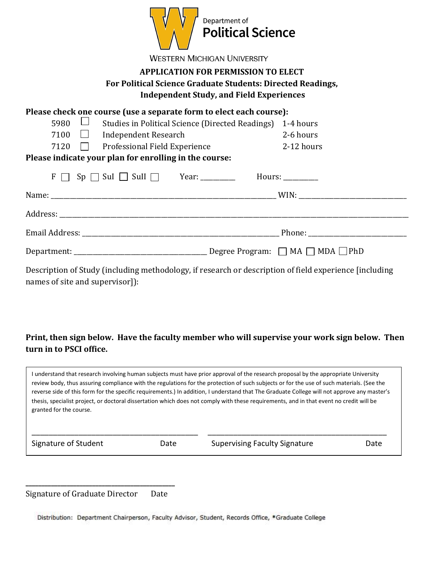

**WESTERN MICHIGAN UNIVERSITY** 

## **APPLICATION FOR PERMISSION TO ELECT For Political Science Graduate Students: Directed Readings, Independent Study, and Field Experiences**

| Please check one course (use a separate form to elect each course):                                    |            |  |  |
|--------------------------------------------------------------------------------------------------------|------------|--|--|
| 5980<br>Studies in Political Science (Directed Readings)                                               | 1-4 hours  |  |  |
| 7100<br>$\Box$ Independent Research                                                                    | 2-6 hours  |  |  |
| 7120 Professional Field Experience                                                                     | 2-12 hours |  |  |
| Please indicate your plan for enrolling in the course:                                                 |            |  |  |
| $F \cap Sp \cap Sul \cap Sul \cap$ Year: Hours:                                                        |            |  |  |
|                                                                                                        |            |  |  |
|                                                                                                        |            |  |  |
|                                                                                                        |            |  |  |
|                                                                                                        |            |  |  |
| Description of Study (including methodology, if research or description of field experience [including |            |  |  |

## **Print, then sign below. Have the faculty member who will supervise your work sign below. Then turn in to PSCI office.**

| granted for the course. |      | I understand that research involving human subjects must have prior approval of the research proposal by the appropriate University<br>review body, thus assuring compliance with the regulations for the protection of such subjects or for the use of such materials. (See the<br>reverse side of this form for the specific requirements.) In addition, I understand that The Graduate College will not approve any master's<br>thesis, specialist project, or doctoral dissertation which does not comply with these requirements, and in that event no credit will be |      |
|-------------------------|------|----------------------------------------------------------------------------------------------------------------------------------------------------------------------------------------------------------------------------------------------------------------------------------------------------------------------------------------------------------------------------------------------------------------------------------------------------------------------------------------------------------------------------------------------------------------------------|------|
| Signature of Student    | Date | <b>Supervising Faculty Signature</b>                                                                                                                                                                                                                                                                                                                                                                                                                                                                                                                                       | Date |

**\_\_\_\_\_\_\_\_\_\_\_\_\_\_\_\_\_\_\_\_\_\_\_\_\_\_\_\_\_\_\_\_\_\_\_\_\_\_\_\_\_\_\_\_\_\_\_**  Signature of Graduate Director Date

names of site and supervisor]):

Distribution: Department Chairperson, Faculty Advisor, Student, Records Office, \*Graduate College